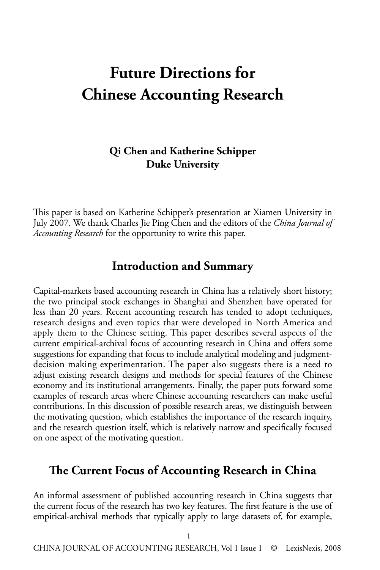# **Future Directions for Chinese Accounting Research**

#### **Qi Chen and Katherine Schipper Duke University**

This paper is based on Katherine Schipper's presentation at Xiamen University in July 2007. We thank Charles Jie Ping Chen and the editors of the *China Journal of Accounting Research* for the opportunity to write this paper.

### **Introduction and Summary**

Capital-markets based accounting research in China has a relatively short history; the two principal stock exchanges in Shanghai and Shenzhen have operated for less than 20 years. Recent accounting research has tended to adopt techniques, research designs and even topics that were developed in North America and apply them to the Chinese setting. This paper describes several aspects of the current empirical-archival focus of accounting research in China and offers some suggestions for expanding that focus to include analytical modeling and judgmentdecision making experimentation. The paper also suggests there is a need to adjust existing research designs and methods for special features of the Chinese economy and its institutional arrangements. Finally, the paper puts forward some examples of research areas where Chinese accounting researchers can make useful contributions. In this discussion of possible research areas, we distinguish between the motivating question, which establishes the importance of the research inquiry, and the research question itself, which is relatively narrow and specifically focused on one aspect of the motivating question.

#### **The Current Focus of Accounting Research in China**

An informal assessment of published accounting research in China suggests that the current focus of the research has two key features. The first feature is the use of empirical-archival methods that typically apply to large datasets of, for example,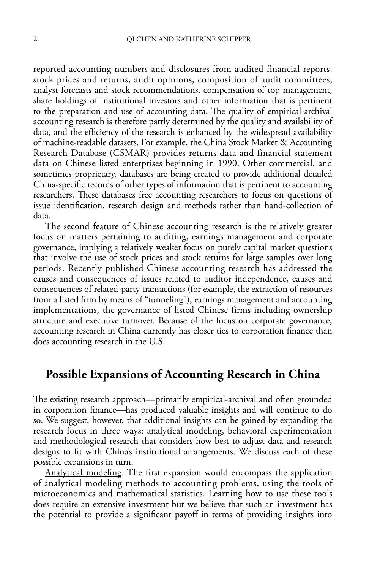reported accounting numbers and disclosures from audited financial reports, stock prices and returns, audit opinions, composition of audit committees, analyst forecasts and stock recommendations, compensation of top management, share holdings of institutional investors and other information that is pertinent to the preparation and use of accounting data. The quality of empirical-archival accounting research is therefore partly determined by the quality and availability of data, and the efficiency of the research is enhanced by the widespread availability of machine-readable datasets. For example, the China Stock Market & Accounting Research Database (CSMAR) provides returns data and financial statement data on Chinese listed enterprises beginning in 1990. Other commercial, and sometimes proprietary, databases are being created to provide additional detailed China-specific records of other types of information that is pertinent to accounting researchers. These databases free accounting researchers to focus on questions of issue identification, research design and methods rather than hand-collection of data.

The second feature of Chinese accounting research is the relatively greater focus on matters pertaining to auditing, earnings management and corporate governance, implying a relatively weaker focus on purely capital market questions that involve the use of stock prices and stock returns for large samples over long periods. Recently published Chinese accounting research has addressed the causes and consequences of issues related to auditor independence, causes and consequences of related-party transactions (for example, the extraction of resources from a listed firm by means of "tunneling"), earnings management and accounting implementations, the governance of listed Chinese firms including ownership structure and executive turnover. Because of the focus on corporate governance, accounting research in China currently has closer ties to corporation finance than does accounting research in the U.S.

#### **Possible Expansions of Accounting Research in China**

The existing research approach—primarily empirical-archival and often grounded in corporation finance—has produced valuable insights and will continue to do so. We suggest, however, that additional insights can be gained by expanding the research focus in three ways: analytical modeling, behavioral experimentation and methodological research that considers how best to adjust data and research designs to fit with China's institutional arrangements. We discuss each of these possible expansions in turn.

Analytical modeling. The first expansion would encompass the application of analytical modeling methods to accounting problems, using the tools of microeconomics and mathematical statistics. Learning how to use these tools does require an extensive investment but we believe that such an investment has the potential to provide a significant payoff in terms of providing insights into